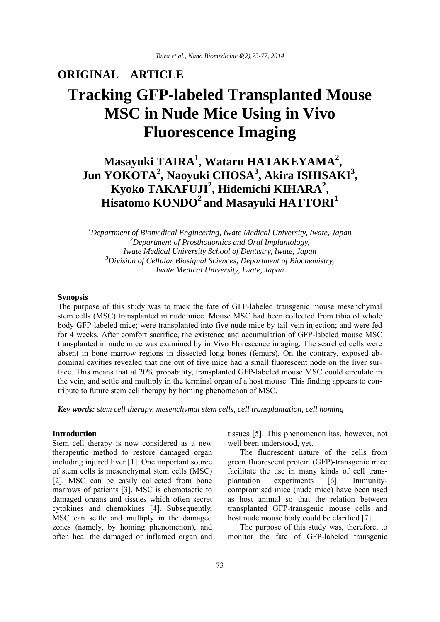### **ORIGINAL ARTICLE**

# **Tracking GFP-labeled Transplanted Mouse MSC in Nude Mice Using in Vivo Fluorescence Imaging**

# **Masayuki TAIRA<sup>1</sup> , Wataru HATAKEYAMA<sup>2</sup> , Jun YOKOTA<sup>2</sup> , Naoyuki CHOSA<sup>3</sup> , Akira ISHISAKI3 , Kyoko TAKAFUJI2 , Hidemichi KIHARA<sup>2</sup> , Hisatomo KONDO2 and Masayuki HATTORI1**

*1 Department of Biomedical Engineering, Iwate Medical University, Iwate, Japan 2 Department of Prosthodontics and Oral Implantology, Iwate Medical University School of Dentistry, Iwate, Japan 3 Division of Cellular Biosignal Sciences, Department of Biochemistry, Iwate Medical University, Iwate, Japan*

#### **Synopsis**

The purpose of this study was to track the fate of GFP-labeled transgenic mouse mesenchymal stem cells (MSC) transplanted in nude mice. Mouse MSC had been collected from tibia of whole body GFP-labeled mice; were transplanted into five nude mice by tail vein injection; and were fed for 4 weeks. After comfort sacrifice, the existence and accumulation of GFP-labeled mouse MSC transplanted in nude mice was examined by in Vivo Florescence imaging. The searched cells were absent in bone marrow regions in dissected long bones (femurs). On the contrary, exposed abdominal cavities revealed that one out of five mice had a small fluorescent node on the liver surface. This means that at 20% probability, transplanted GFP-labeled mouse MSC could circulate in the vein, and settle and multiply in the terminal organ of a host mouse. This finding appears to contribute to future stem cell therapy by homing phenomenon of MSC.

*Key words: stem cell therapy, mesenchymal stem cells, cell transplantation, cell homing*

#### **Introduction**

Stem cell therapy is now considered as a new therapeutic method to restore damaged organ including injured liver [1]. One important source of stem cells is mesenchymal stem cells (MSC) [2]. MSC can be easily collected from bone marrows of patients [3]. MSC is chemotactic to damaged organs and tissues which often secret cytokines and chemokines [4]. Subsequently, MSC can settle and multiply in the damaged zones (namely, by homing phenomenon), and often heal the damaged or inflamed organ and

tissues [5]. This phenomenon has, however, not well been understood, yet.

 The fluorescent nature of the cells from green fluorescent protein (GFP)-transgenic mice facilitate the use in many kinds of cell transplantation experiments [6]. Immunitycompromised mice (nude mice) have been used as host animal so that the relation between transplanted GFP-transgenic mouse cells and host nude mouse body could be clarified [7].

 The purpose of this study was, therefore, to monitor the fate of GFP-labeled transgenic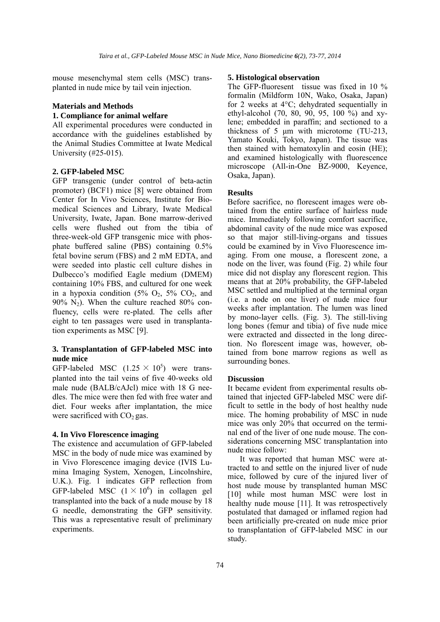mouse mesenchymal stem cells (MSC) transplanted in nude mice by tail vein injection.

## **Materials and Methods**

### **1. Compliance for animal welfare**

All experimental procedures were conducted in accordance with the guidelines established by the Animal Studies Committee at Iwate Medical University (#25-015).

#### **2. GFP-labeled MSC**

GFP transgenic (under control of beta-actin promoter) (BCF1) mice [8] were obtained from Center for In Vivo Sciences, Institute for Biomedical Sciences and Library, Iwate Medical University, Iwate, Japan. Bone marrow-derived cells were flushed out from the tibia of three-week-old GFP transgenic mice with phosphate buffered saline (PBS) containing 0.5% fetal bovine serum (FBS) and 2 mM EDTA, and were seeded into plastic cell culture dishes in Dulbecco's modified Eagle medium (DMEM) containing 10% FBS, and cultured for one week in a hypoxia condition  $(5\% \text{ O}_2, 5\% \text{ CO}_2, \text{ and})$ 90%  $N_2$ ). When the culture reached 80% confluency, cells were re-plated. The cells after eight to ten passages were used in transplantation experiments as MSC [9].

#### **3. Transplantation of GFP-labeled MSC into nude mice**

GFP-labeled MSC  $(1.25 \times 10^5)$  were transplanted into the tail veins of five 40-weeks old male nude (BALB/cAJcl) mice with 18 G needles. The mice were then fed with free water and diet. Four weeks after implantation, the mice were sacrificed with  $CO<sub>2</sub>$  gas.

#### **4. In Vivo Florescence imaging**

The existence and accumulation of GFP-labeled MSC in the body of nude mice was examined by in Vivo Florescence imaging device (IVIS Lumina Imaging System, Xenogen, Lincolnshire, U.K.). Fig. 1 indicates GFP reflection from GFP-labeled MSC  $(1 \times 10^6)$  in collagen gel transplanted into the back of a nude mouse by 18 G needle, demonstrating the GFP sensitivity. This was a representative result of preliminary experiments.

#### **5. Histological observation**

The GFP-fluoresent tissue was fixed in 10 % formalin (Mildform 10N, Wako, Osaka, Japan) for 2 weeks at 4°C; dehydrated sequentially in ethyl-alcohol (70, 80, 90, 95, 100 %) and xylene; embedded in paraffin; and sectioned to a thickness of 5 μm with microtome (TU-213, Yamato Kouki, Tokyo, Japan). The tissue was then stained with hematoxylin and eosin (HE); and examined histologically with fluorescence microscope (All-in-One BZ-9000, Keyence, Osaka, Japan).

#### **Results**

Before sacrifice, no florescent images were obtained from the entire surface of hairless nude mice. Immediately following comfort sacrifice, abdominal cavity of the nude mice was exposed so that major still-living-organs and tissues could be examined by in Vivo Fluorescence imaging. From one mouse, a florescent zone, a node on the liver, was found (Fig. 2) while four mice did not display any florescent region. This means that at 20% probability, the GFP-labeled MSC settled and multiplied at the terminal organ (i.e. a node on one liver) of nude mice four weeks after implantation. The lumen was lined by mono-layer cells. (Fig. 3). The still-living long bones (femur and tibia) of five nude mice were extracted and dissected in the long direction. No florescent image was, however, obtained from bone marrow regions as well as surrounding bones.

#### **Discussion**

It became evident from experimental results obtained that injected GFP-labeled MSC were difficult to settle in the body of host healthy nude mice. The homing probability of MSC in nude mice was only 20% that occurred on the terminal end of the liver of one nude mouse. The considerations concerning MSC transplantation into nude mice follow:

 It was reported that human MSC were attracted to and settle on the injured liver of nude mice, followed by cure of the injured liver of host nude mouse by transplanted human MSC [10] while most human MSC were lost in healthy nude mouse [11]. It was retrospectively postulated that damaged or inflamed region had been artificially pre-created on nude mice prior to transplantation of GFP-labeled MSC in our study.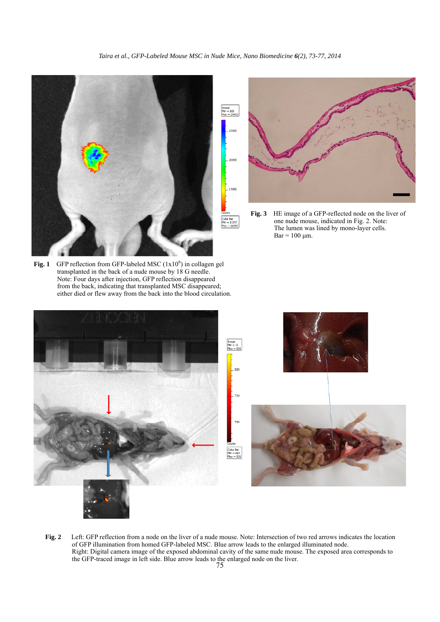Color Bar<br>Mn = 11397<br>Max = 26980

**Fig. 1** GFP reflection from GFP-labeled MSC  $(1x10<sup>6</sup>)$  in collagen gel transplanted in the back of a nude mouse by 18 G needle. Note: Four days after injection, GFP reflection disappeared from the back, indicating that transplanted MSC disappeared; either died or flew away from the back into the blood circulation.

Brage<br>Mn = 109<br>Max = 2940 15000

**Fig. 3** HE image of a GFP-reflected node on the liver of one nude mouse, indicated in Fig. 2. Note: The lumen was lined by mono-layer cells.  $Bar = 100 \mu m$ .



75 the GFP-traced image in left side. Blue arrow leads to the enlarged node on the liver. **Fig. 2** Left: GFP reflection from a node on the liver of a nude mouse. Note: Intersection of two red arrows indicates the location of GFP illumination from homed GFP-labeled MSC. Blue arrow leads to the enlarged illuminated node. Right: Digital camera image of the exposed abdominal cavity of the same nude mouse. The exposed area corresponds to

*Taira et al., GFP-Labeled Mouse MSC in Nude Mice, Nano Biomedicine 6(2), 73-77, 2014*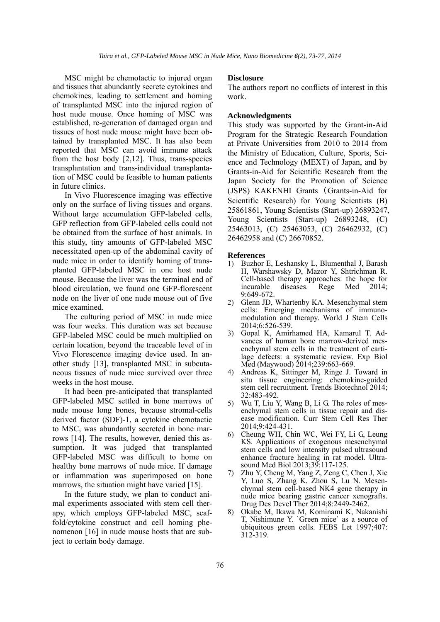MSC might be chemotactic to injured organ and tissues that abundantly secrete cytokines and chemokines, leading to settlement and homing of transplanted MSC into the injured region of host nude mouse. Once homing of MSC was established, re-generation of damaged organ and tissues of host nude mouse might have been obtained by transplanted MSC. It has also been reported that MSC can avoid immune attack from the host body [2,12]. Thus, trans-species transplantation and trans-individual transplantation of MSC could be feasible to human patients in future clinics.

 In Vivo Fluorescence imaging was effective only on the surface of living tissues and organs. Without large accumulation GFP-labeled cells, GFP reflection from GFP-labeled cells could not be obtained from the surface of host animals. In this study, tiny amounts of GFP-labeled MSC necessitated open-up of the abdominal cavity of nude mice in order to identify homing of transplanted GFP-labeled MSC in one host nude mouse. Because the liver was the terminal end of blood circulation, we found one GFP-florescent node on the liver of one nude mouse out of five mice examined.

 The culturing period of MSC in nude mice was four weeks. This duration was set because GFP-labeled MSC could be much multiplied on certain location, beyond the traceable level of in Vivo Florescence imaging device used. In another study [13], transplanted MSC in subcutaneous tissues of nude mice survived over three weeks in the host mouse.

 It had been pre-anticipated that transplanted GFP-labeled MSC settled in bone marrows of nude mouse long bones, because stromal-cells derived factor (SDF)-1, a cytokine chemotactic to MSC, was abundantly secreted in bone marrows [14]. The results, however, denied this assumption. It was judged that transplanted GFP-labeled MSC was difficult to home on healthy bone marrows of nude mice. If damage or inflammation was superimposed on bone marrows, the situation might have varied [15].

 In the future study, we plan to conduct animal experiments associated with stem cell therapy, which employs GFP-labeled MSC, scaffold/cytokine construct and cell homing phenomenon [16] in nude mouse hosts that are subject to certain body damage.

#### **Disclosure**

The authors report no conflicts of interest in this work.

#### **Acknowledgments**

This study was supported by the Grant-in-Aid Program for the Strategic Research Foundation at Private Universities from 2010 to 2014 from the Ministry of Education, Culture, Sports, Science and Technology (MEXT) of Japan, and by Grants-in-Aid for Scientific Research from the Japan Society for the Promotion of Science (JSPS) KAKENHI Grants (Grants-in-Aid for Scientific Research) for Young Scientists (B) 25861861, Young Scientists (Start-up) 26893247, Young Scientists (Start-up) 26893248, (C) 25463013, (C) 25463053, (C) 26462932, (C) 26462958 and (C) 26670852.

#### **References**

- 1) Buzhor E, Leshansky L, Blumenthal J, Barash H, Warshawsky D, Mazor Y, Shtrichman R. Cell-based therapy approaches: the hope for incurable diseases. Rege Med 2014; Med  $2014$ ; 9:649-672.
- 2) Glenn JD, Whartenby KA. Mesenchymal stem cells: Emerging mechanisms of immunomodulation and therapy. World J Stem Cells 2014;6:526-539.
- 3) Gopal K, Amirhamed HA, Kamarul T. Advances of human bone marrow-derived mesenchymal stem cells in the treatment of cartilage defects: a systematic review. Exp Biol Med (Maywood) 2014;239:663-669.
- 4) Andreas K, Sittinger M, Ringe J. Toward in situ tissue engineering: chemokine-guided stem cell recruitment. Trends Biotechnol 2014; 32:483-492.
- 5) Wu T, Liu Y, Wang B, Li G. The roles of mesenchymal stem cells in tissue repair and disease modification. Curr Stem Cell Res Ther 2014;9:424-431.
- 6) Cheung WH, Chin WC, Wei FY, Li G, Leung KS. Applications of exogenous mesenchymal stem cells and low intensity pulsed ultrasound enhance fracture healing in rat model. Ultrasound Med Biol 2013;39:117-125.
- 7) Zhu Y, Cheng M, Yang Z, Zeng C, Chen J, Xie Y, Luo S, Zhang K, Zhou S, Lu N. Mesenchymal stem cell-based NK4 gene therapy in nude mice bearing gastric cancer xenografts. Drug Des Devel Ther 2014;8:2449-2462.
- 8) Okabe M, Ikawa M, Kominami K, Nakanishi T, Nishimune Y. `Green mice` as a source of ubiquitous green cells. FEBS Let 1997;407: 312-319.